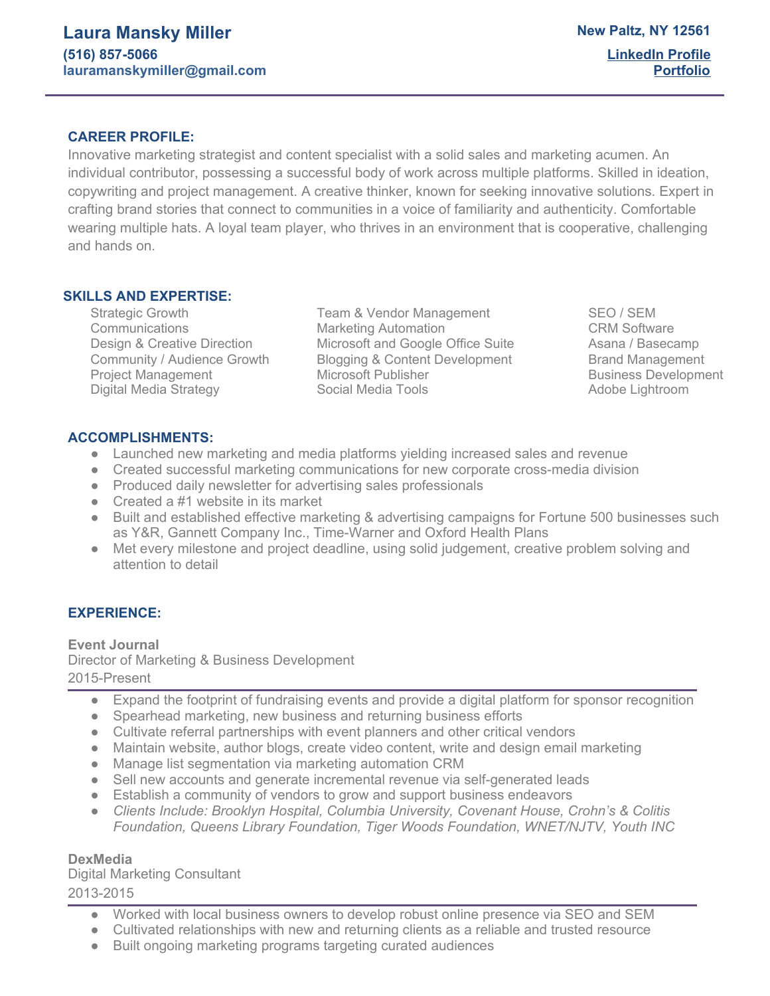## **CAREER PROFILE:**

Innovative marketing strategist and content specialist with a solid sales and marketing acumen. An individual contributor, possessing a successful body of work across multiple platforms. Skilled in ideation, copywriting and project management. A creative thinker, known for seeking innovative solutions. Expert in crafting brand stories that connect to communities in a voice of familiarity and authenticity. Comfortable wearing multiple hats. A loyal team player, who thrives in an environment that is cooperative, challenging and hands on.

## **SKILLS AND EXPERTISE:**

Strategic Growth Team & Vendor Management SEO / SEM Communications **COM Software** Marketing Automation **CRM** Software Design & Creative Direction Microsoft and Google Office Suite Asana / Basecamp Community / Audience Growth Blogging & Content Development Brand Management Project Management **Microsoft Publisher Microsoft Publisher Business Development** Digital Media Strategy **Social Media Tools** Adobe Lightroom **Adobe Lightroom** 

## **ACCOMPLISHMENTS:**

- Launched new marketing and media platforms yielding increased sales and revenue
- Created successful marketing communications for new corporate cross-media division
- Produced daily newsletter for advertising sales professionals
- Created a #1 website in its market
- Built and established effective marketing & advertising campaigns for Fortune 500 businesses such as Y&R, Gannett Company Inc., Time-Warner and Oxford Health Plans
- Met every milestone and project deadline, using solid judgement, creative problem solving and attention to detail

# **EXPERIENCE:**

**Event Journal** Director of Marketing & Business Development 2015-Present

- Expand the footprint of fundraising events and provide a digital platform for sponsor recognition
- Spearhead marketing, new business and returning business efforts
- Cultivate referral partnerships with event planners and other critical vendors
- Maintain website, author blogs, create video content, write and design email marketing
- Manage list segmentation via marketing automation CRM
- Sell new accounts and generate incremental revenue via self-generated leads
- Establish a community of vendors to grow and support business endeavors
- *● Clients Include: Brooklyn Hospital, Columbia University, Covenant House, Crohn's & Colitis Foundation, Queens Library Foundation, Tiger Woods Foundation, WNET/NJTV, Youth INC*

## **DexMedia**

Digital Marketing Consultant 2013-2015

- Worked with local business owners to develop robust online presence via SEO and SEM
- Cultivated relationships with new and returning clients as a reliable and trusted resource
- Built ongoing marketing programs targeting curated audiences